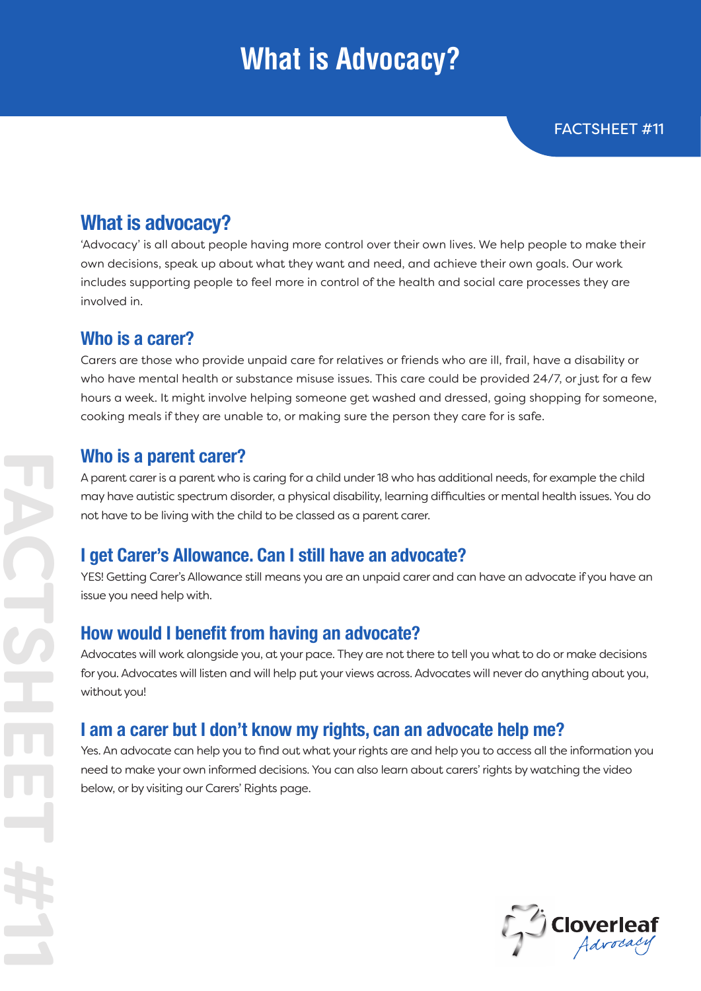# **What is Advocacy?**

## **What is advocacy?**

'Advocacy' is all about people having more control over their own lives. We help people to make their own decisions, speak up about what they want and need, and achieve their own goals. Our work includes supporting people to feel more in control of the health and social care processes they are involved in.

### **Who is a carer?**

Carers are those who provide unpaid care for relatives or friends who are ill, frail, have a disability or who have mental health or substance misuse issues. This care could be provided 24/7, or just for a few hours a week. It might involve helping someone get washed and dressed, going shopping for someone, cooking meals if they are unable to, or making sure the person they care for is safe.

#### **Who is a parent carer?**

A parent carer is a parent who is caring for a child under 18 who has additional needs, for example the child may have autistic spectrum disorder, a physical disability, learning difficulties or mental health issues. You do not have to be living with the child to be classed as a parent carer.

### **I get Carer's Allowance. Can I still have an advocate?**

YES! Getting Carer's Allowance still means you are an unpaid carer and can have an advocate if you have an issue you need help with.

### **How would I benefit from having an advocate?**

Advocates will work alongside you, at your pace. They are not there to tell you what to do or make decisions for you. Advocates will listen and will help put your views across. Advocates will never do anything about you, without you!

## **I am a carer but I don't know my rights, can an advocate help me?**

Yes. An advocate can help you to find out what your rights are and help you to access all the information you need to make your own informed decisions. You can also learn about carers' rights by watching the video below, or by visiting our Carers' Rights page.

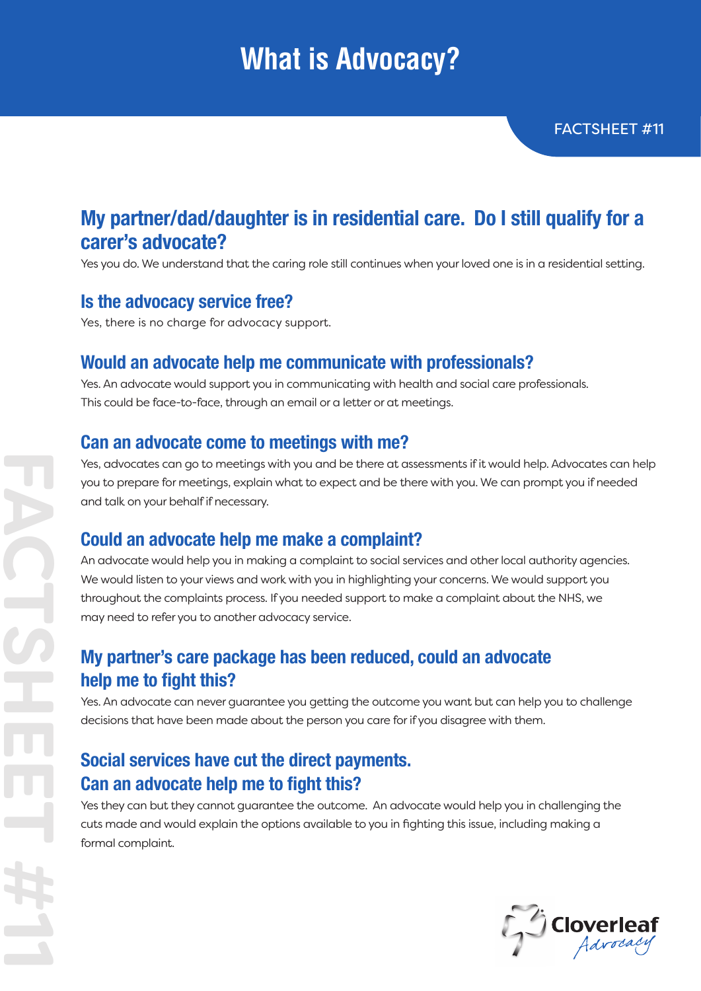# **What is Advocacy?**

## **My partner/dad/daughter is in residential care. Do I still qualify for a carer's advocate?**

Yes you do. We understand that the caring role still continues when your loved one is in a residential setting.

### **Is the advocacy service free?**

Yes, there is no charge for advocacy support.

### **Would an advocate help me communicate with professionals?**

Yes. An advocate would support you in communicating with health and social care professionals. This could be face-to-face, through an email or a letter or at meetings.

#### **Can an advocate come to meetings with me?**

Yes, advocates can go to meetings with you and be there at assessments if it would help. Advocates can help you to prepare for meetings, explain what to expect and be there with you. We can prompt you if needed and talk on your behalf if necessary.

### **Could an advocate help me make a complaint?**

An advocate would help you in making a complaint to social services and other local authority agencies. We would listen to your views and work with you in highlighting your concerns. We would support you throughout the complaints process. If you needed support to make a complaint about the NHS, we may need to refer you to another advocacy service.

### **My partner's care package has been reduced, could an advocate help me to fight this?**

Yes. An advocate can never guarantee you getting the outcome you want but can help you to challenge decisions that have been made about the person you care for if you disagree with them.

## **Social services have cut the direct payments. Can an advocate help me to fight this?**

Yes they can but they cannot guarantee the outcome. An advocate would help you in challenging the cuts made and would explain the options available to you in fighting this issue, including making a formal complaint.